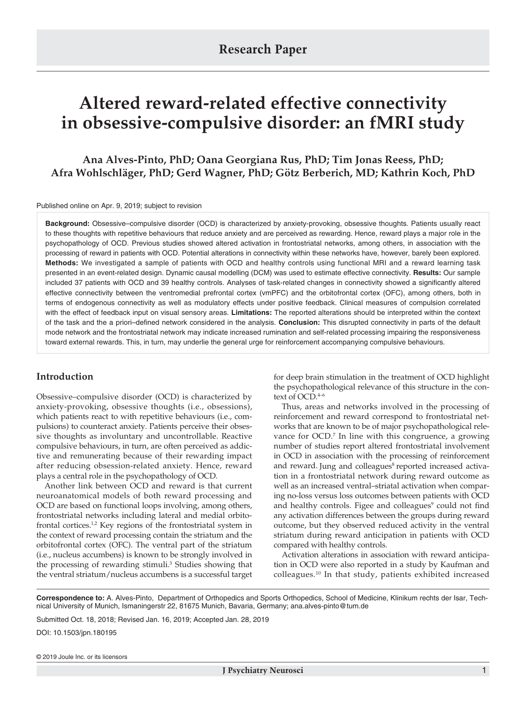# **Altered reward-related effective connectivity in obsessive-compulsive disorder: an fMRI study**

**Ana Alves-Pinto, PhD; Oana Georgiana Rus, PhD; Tim Jonas Reess, PhD; Afra Wohlschläger, PhD; Gerd Wagner, PhD; Götz Berberich, MD; Kathrin Koch, PhD**

Published online on Apr. 9, 2019; subject to revision

**Background:** Obsessive–compulsive disorder (OCD) is characterized by anxiety-provoking, obsessive thoughts. Patients usually react to these thoughts with repetitive behaviours that reduce anxiety and are perceived as rewarding. Hence, reward plays a major role in the psychopathology of OCD. Previous studies showed altered activation in frontostriatal networks, among others, in association with the processing of reward in patients with OCD. Potential alterations in connectivity within these networks have, however, barely been explored. **Methods:** We investigated a sample of patients with OCD and healthy controls using functional MRI and a reward learning task presented in an event-related design. Dynamic causal modelling (DCM) was used to estimate effective connectivity. **Results:** Our sample included 37 patients with OCD and 39 healthy controls. Analyses of task-related changes in connectivity showed a significantly altered effective connectivity between the ventromedial prefrontal cortex (vmPFC) and the orbitofrontal cortex (OFC), among others, both in terms of endogenous connectivity as well as modulatory effects under positive feedback. Clinical measures of compulsion correlated with the effect of feedback input on visual sensory areas. **Limitations:** The reported alterations should be interpreted within the context of the task and the a priori–defined network considered in the analysis. **Conclusion:** This disrupted connectivity in parts of the default mode network and the frontostriatal network may indicate increased rumination and self-related processing impairing the responsiveness toward external rewards. This, in turn, may underlie the general urge for reinforcement accompanying compulsive behaviours.

# **Introduction**

Obsessive–compulsive disorder (OCD) is characterized by anxiety-provoking, obsessive thoughts (i.e., obsessions), which patients react to with repetitive behaviours (i.e., compulsions) to counteract anxiety. Patients perceive their obsessive thoughts as involuntary and uncontrollable. Reactive compulsive behaviours, in turn, are often perceived as addictive and remunerating because of their rewarding impact after reducing obsession-related anxiety. Hence, reward plays a central role in the psychopathology of OCD.

Another link between OCD and reward is that current neuroanatomical models of both reward processing and OCD are based on functional loops involving, among others, frontostriatal networks including lateral and medial orbitofrontal cortices.<sup>1,2</sup> Key regions of the frontostriatal system in the context of reward processing contain the striatum and the orbitofrontal cortex (OFC). The ventral part of the striatum (i.e., nucleus accumbens) is known to be strongly involved in the processing of rewarding stimuli.3 Studies showing that the ventral striatum/nucleus accumbens is a successful target for deep brain stimulation in the treatment of OCD highlight the psychopathological relevance of this structure in the context of OCD.<sup>4-6</sup>

Thus, areas and networks involved in the processing of reinforcement and reward correspond to frontostriatal networks that are known to be of major psychopathological relevance for OCD.<sup>7</sup> In line with this congruence, a growing number of studies report altered frontostriatal involvement in OCD in association with the processing of reinforcement and reward. Jung and colleagues<sup>8</sup> reported increased activation in a frontostriatal network during reward outcome as well as an increased ventral–striatal activation when comparing no-loss versus loss outcomes between patients with OCD and healthy controls. Figee and colleagues<sup>9</sup> could not find any activation differences between the groups during reward outcome, but they observed reduced activity in the ventral striatum during reward anticipation in patients with OCD compared with healthy controls.

Activation alterations in association with reward anticipation in OCD were also reported in a study by Kaufman and colleagues.10 In that study, patients exhibited increased

**Correspondence to:** A. Alves-Pinto, Department of Orthopedics and Sports Orthopedics, School of Medicine, Klinikum rechts der Isar, Technical University of Munich, Ismaningerstr 22, 81675 Munich, Bavaria, Germany; ana.alves-pinto@tum.de

Submitted Oct. 18, 2018; Revised Jan. 16, 2019; Accepted Jan. 28, 2019

DOI: 10.1503/jpn.180195

© 2019 Joule Inc. or its licensors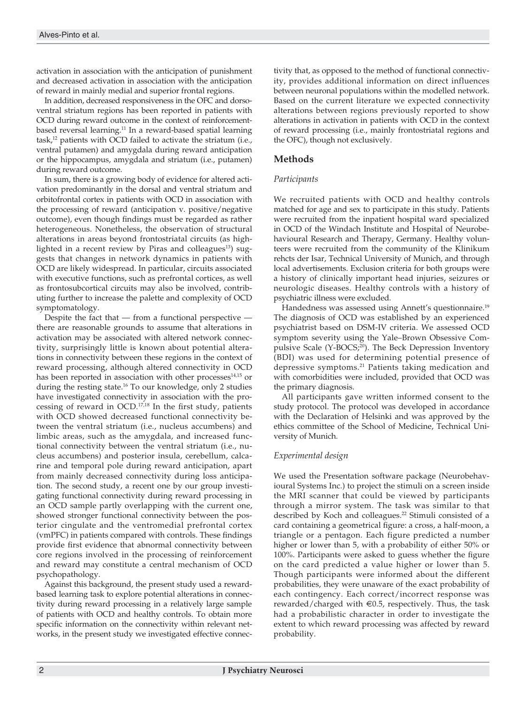activation in association with the anticipation of punishment and decreased activation in association with the anticipation of reward in mainly medial and superior frontal regions.

In addition, decreased responsiveness in the OFC and dorsoventral striatum regions has been reported in patients with OCD during reward outcome in the context of reinforcementbased reversal learning.<sup>11</sup> In a reward-based spatial learning task,12 patients with OCD failed to activate the striatum (i.e., ventral putamen) and amygdala during reward anticipation or the hippocampus, amygdala and striatum (i.e., putamen) during reward outcome.

In sum, there is a growing body of evidence for altered activation predominantly in the dorsal and ventral striatum and orbitofrontal cortex in patients with OCD in association with the processing of reward (anticipation v. positive/negative outcome), even though findings must be regarded as rather heterogeneous. Nonetheless, the observation of structural alterations in areas beyond frontostriatal circuits (as highlighted in a recent review by Piras and colleagues<sup>13</sup>) suggests that changes in network dynamics in patients with OCD are likely widespread. In particular, circuits associated with executive functions, such as prefrontal cortices, as well as frontosubcortical circuits may also be involved, contributing further to increase the palette and complexity of OCD symptomatology.

Despite the fact that  $-$  from a functional perspective  $$ there are reasonable grounds to assume that alterations in activation may be associated with altered network connectivity, surprisingly little is known about potential alterations in connectivity between these regions in the context of reward processing, although altered connectivity in OCD has been reported in association with other processes $14,15$  or during the resting state.<sup>16</sup> To our knowledge, only 2 studies have investigated connectivity in association with the processing of reward in OCD.<sup>17,18</sup> In the first study, patients with OCD showed decreased functional connectivity between the ventral striatum (i.e., nucleus accumbens) and limbic areas, such as the amygdala, and increased functional connectivity between the ventral striatum (i.e., nucleus accumbens) and posterior insula, cerebellum, calcarine and temporal pole during reward anticipation, apart from mainly decreased connectivity during loss anticipation. The second study, a recent one by our group investigating functional connectivity during reward processing in an OCD sample partly overlapping with the current one, showed stronger functional connectivity between the posterior cingulate and the ventromedial prefrontal cortex (vmPFC) in patients compared with controls. These findings provide first evidence that abnormal connectivity between core regions involved in the processing of reinforcement and reward may constitute a central mechanism of OCD psychopathology.

Against this background, the present study used a rewardbased learning task to explore potential alterations in connectivity during reward processing in a relatively large sample of patients with OCD and healthy controls. To obtain more specific information on the connectivity within relevant networks, in the present study we investigated effective connectivity that, as opposed to the method of functional connectivity, provides additional information on direct influences between neuronal populations within the modelled network. Based on the current literature we expected connectivity alterations between regions previously reported to show alterations in activation in patients with OCD in the context of reward processing (i.e., mainly frontostriatal regions and the OFC), though not exclusively.

# **Methods**

# *Participants*

We recruited patients with OCD and healthy controls matched for age and sex to participate in this study. Patients were recruited from the inpatient hospital ward specialized in OCD of the Windach Institute and Hospital of Neurobehavioural Research and Therapy, Germany. Healthy volunteers were recruited from the community of the Klinikum rehcts der Isar, Technical University of Munich, and through local advertisements. Exclusion criteria for both groups were a history of clinically important head injuries, seizures or neurologic diseases. Healthy controls with a history of psychiatric illness were excluded.

Handedness was assessed using Annett's questionnaire.<sup>19</sup> The diagnosis of OCD was established by an experienced psychiatrist based on DSM-IV criteria. We assessed OCD symptom severity using the Yale–Brown Obsessive Compulsive Scale (Y-BOCS;<sup>20</sup>). The Beck Depression Inventory (BDI) was used for determining potential presence of depressive symptoms.21 Patients taking medication and with comorbidities were included, provided that OCD was the primary diagnosis.

All participants gave written informed consent to the study protocol. The protocol was developed in accordance with the Declaration of Helsinki and was approved by the ethics committee of the School of Medicine, Technical University of Munich.

# *Experimental design*

We used the Presentation software package (Neurobehavioural Systems Inc.) to project the stimuli on a screen inside the MRI scanner that could be viewed by participants through a mirror system. The task was similar to that described by Koch and colleagues.<sup>22</sup> Stimuli consisted of a card containing a geometrical figure: a cross, a half-moon, a triangle or a pentagon. Each figure predicted a number higher or lower than 5, with a probability of either 50% or 100%. Participants were asked to guess whether the figure on the card predicted a value higher or lower than 5. Though participants were informed about the different probabilities, they were unaware of the exact probability of each contingency. Each correct/incorrect response was rewarded/charged with  $\epsilon$ 0.5, respectively. Thus, the task had a probabilistic character in order to investigate the extent to which reward processing was affected by reward probability.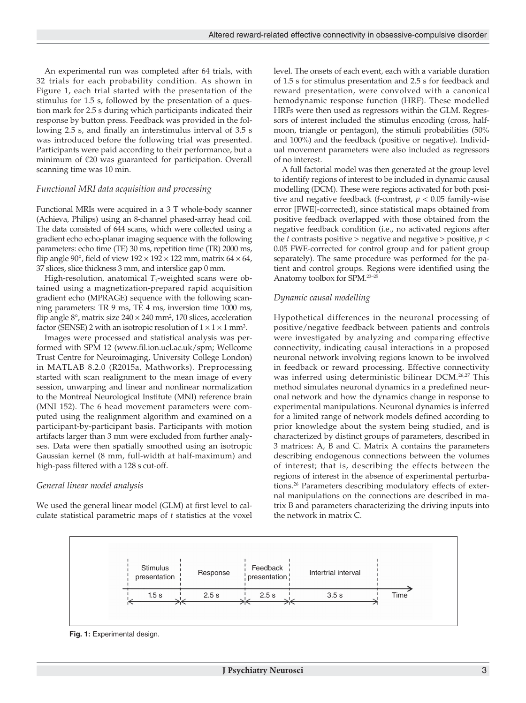An experimental run was completed after 64 trials, with 32 trials for each probability condition. As shown in Figure 1, each trial started with the presentation of the stimulus for 1.5 s, followed by the presentation of a question mark for 2.5 s during which participants indicated their response by button press. Feedback was provided in the following 2.5 s, and finally an interstimulus interval of 3.5 s was introduced before the following trial was presented. Participants were paid according to their performance, but a minimum of €20 was guaranteed for participation. Overall scanning time was 10 min.

## *Functional MRI data acquisition and processing*

Functional MRIs were acquired in a 3 T whole-body scanner (Achieva, Philips) using an 8-channel phased-array head coil. The data consisted of 644 scans, which were collected using a gradient echo echo-planar imaging sequence with the following parameters: echo time (TE) 30 ms, repetition time (TR) 2000 ms, flip angle 90°, field of view  $192 \times 192 \times 122$  mm, matrix  $64 \times 64$ , 37 slices, slice thickness 3 mm, and interslice gap 0 mm.

High-resolution, anatomical  $T_1$ -weighted scans were obtained using a magnetization-prepared rapid acquisition gradient echo (MPRAGE) sequence with the following scanning parameters: TR 9 ms, TE 4 ms, inversion time 1000 ms, flip angle  $8^{\circ}$ , matrix size  $240 \times 240$  mm<sup>2</sup>, 170 slices, acceleration factor (SENSE) 2 with an isotropic resolution of  $1 \times 1 \times 1$  mm<sup>3</sup>.

Images were processed and statistical analysis was performed with SPM 12 (www.fil.ion.ucl.ac.uk/spm; Wellcome Trust Centre for Neuroimaging, University College London) in MATLAB 8.2.0 (R2015a, Mathworks). Preprocessing started with scan realignment to the mean image of every session, unwarping and linear and nonlinear normalization to the Montreal Neurological Institute (MNI) reference brain (MNI 152). The 6 head movement parameters were computed using the realignment algorithm and examined on a participant-by-participant basis. Participants with motion artifacts larger than 3 mm were excluded from further analyses. Data were then spatially smoothed using an isotropic Gaussian kernel (8 mm, full-width at half-maximum) and high-pass filtered with a 128 s cut-off.

# *General linear model analysis*

We used the general linear model (GLM) at first level to calculate statistical parametric maps of *t* statistics at the voxel level. The onsets of each event, each with a variable duration of 1.5 s for stimulus presentation and 2.5 s for feedback and reward presentation, were convolved with a canonical hemodynamic response function (HRF). These modelled HRFs were then used as regressors within the GLM. Regressors of interest included the stimulus encoding (cross, halfmoon, triangle or pentagon), the stimuli probabilities (50% and 100%) and the feedback (positive or negative). Individual movement parameters were also included as regressors of no interest.

A full factorial model was then generated at the group level to identify regions of interest to be included in dynamic causal modelling (DCM). These were regions activated for both positive and negative feedback (f-contrast,  $p < 0.05$  family-wise error [FWE]-corrected), since statistical maps obtained from positive feedback overlapped with those obtained from the negative feedback condition (i.e., no activated regions after the *t* contrasts positive > negative and negative > positive,  $p$  < 0.05 FWE-corrected for control group and for patient group separately). The same procedure was performed for the patient and control groups. Regions were identified using the Anatomy toolbox for SPM.23–25

# *Dynamic causal modelling*

Hypothetical differences in the neuronal processing of positive/negative feedback between patients and controls were investigated by analyzing and comparing effective connectivity, indicating causal interactions in a proposed neuronal network involving regions known to be involved in feedback or reward processing. Effective connectivity was inferred using deterministic bilinear DCM.26,27 This method simulates neuronal dynamics in a predefined neuronal network and how the dynamics change in response to experimental manipulations. Neuronal dynamics is inferred for a limited range of network models defined according to prior knowledge about the system being studied, and is characterized by distinct groups of parameters, described in 3 matrices: A, B and C. Matrix A contains the parameters describing endogenous connections between the volumes of interest; that is, describing the effects between the regions of interest in the absence of experimental perturbations.26 Parameters describing modulatory effects of external manipulations on the connections are described in matrix B and parameters characterizing the driving inputs into the network in matrix C.



**Fig. 1:** Experimental design.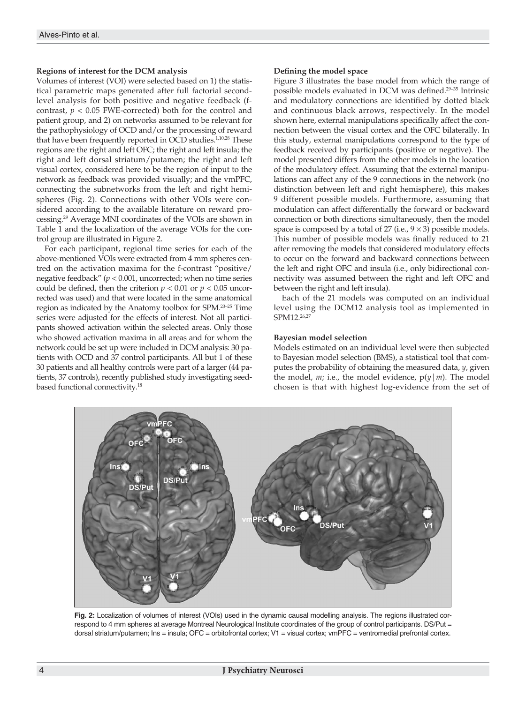# **Regions of interest for the DCM analysis**

Volumes of interest (VOI) were selected based on 1) the statistical parametric maps generated after full factorial secondlevel analysis for both positive and negative feedback (fcontrast,  $p < 0.05$  FWE-corrected) both for the control and patient group, and 2) on networks assumed to be relevant for the pathophysiology of OCD and/or the processing of reward that have been frequently reported in OCD studies.<sup>1,10,28</sup> These regions are the right and left OFC; the right and left insula; the right and left dorsal striatum/putamen; the right and left visual cortex, considered here to be the region of input to the network as feedback was provided visually; and the vmPFC, connecting the subnetworks from the left and right hemispheres (Fig. 2). Connections with other VOIs were considered according to the available literature on reward processing.29 Average MNI coordinates of the VOIs are shown in Table 1 and the localization of the average VOIs for the control group are illustrated in Figure 2.

For each participant, regional time series for each of the above-mentioned VOIs were extracted from 4 mm spheres centred on the activation maxima for the f-contrast "positive/ negative feedback" (*p* < 0.001, uncorrected; when no time series could be defined, then the criterion  $p < 0.01$  or  $p < 0.05$  uncorrected was used) and that were located in the same anatomical region as indicated by the Anatomy toolbox for SPM.23–25 Time series were adjusted for the effects of interest. Not all participants showed activation within the selected areas. Only those who showed activation maxima in all areas and for whom the network could be set up were included in DCM analysis: 30 patients with OCD and 37 control participants. All but 1 of these 30 patients and all healthy controls were part of a larger (44 patients, 37 controls), recently published study investigating seedbased functional connectivity.18

### **Defining the model space**

Figure 3 illustrates the base model from which the range of possible models evaluated in DCM was defined.29–35 Intrinsic and modulatory connections are identified by dotted black and continuous black arrows, respectively. In the model shown here, external manipulations specifically affect the connection between the visual cortex and the OFC bilaterally. In this study, external manipulations correspond to the type of feedback received by participants (positive or negative). The model presented differs from the other models in the location of the modulatory effect. Assuming that the external manipulations can affect any of the 9 connections in the network (no distinction between left and right hemisphere), this makes 9 different possible models. Furthermore, assuming that modulation can affect differentially the forward or backward connection or both directions simultaneously, then the model space is composed by a total of 27 (i.e.,  $9 \times 3$ ) possible models. This number of possible models was finally reduced to 21 after removing the models that considered modulatory effects to occur on the forward and backward connections between the left and right OFC and insula (i.e., only bidirectional connectivity was assumed between the right and left OFC and between the right and left insula).

Each of the 21 models was computed on an individual level using the DCM12 analysis tool as implemented in SPM12.26,27

# **Bayesian model selection**

Models estimated on an individual level were then subjected to Bayesian model selection (BMS), a statistical tool that computes the probability of obtaining the measured data, *y*, given the model,  $m$ ; i.e., the model evidence,  $p(y|m)$ . The model chosen is that with highest log-evidence from the set of



**Fig. 2:** Localization of volumes of interest (VOIs) used in the dynamic causal modelling analysis. The regions illustrated correspond to 4 mm spheres at average Montreal Neurological Institute coordinates of the group of control participants. DS/Put = dorsal striatum/putamen; Ins = insula; OFC = orbitofrontal cortex; V1 = visual cortex; vmPFC = ventromedial prefrontal cortex.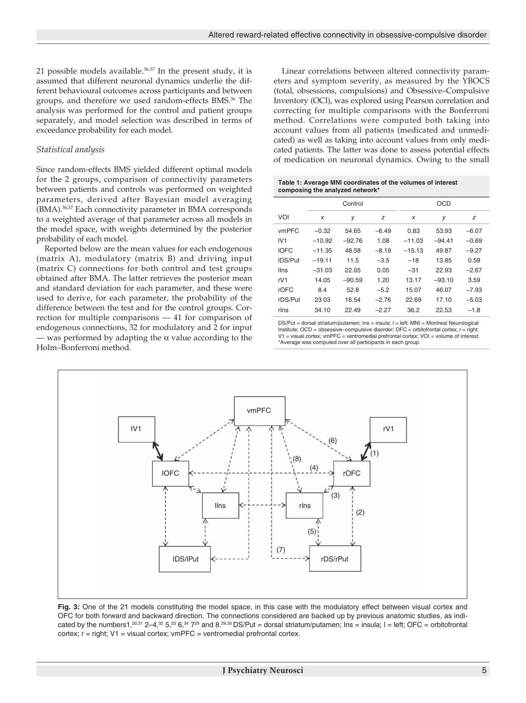21 possible models available. $36,37$  In the present study, it is assumed that different neuronal dynamics underlie the different behavioural outcomes across participants and between groups, and therefore we used random-effects BMS.36 The analysis was performed for the control and patient groups separately, and model selection was described in terms of exceedance probability for each model.

# *Statistical analysis*

Since random-effects BMS yielded different optimal models for the 2 groups, comparison of connectivity parameters between patients and controls was performed on weighted parameters, derived after Bayesian model averaging (BMA).36,37 Each connectivity parameter in BMA corresponds to a weighted average of that parameter across all models in the model space, with weights determined by the posterior probability of each model.

Reported below are the mean values for each endogenous (matrix A), modulatory (matrix B) and driving input (matrix C) connections for both control and test groups obtained after BMA. The latter retrieves the posterior mean and standard deviation for each parameter, and these were used to derive, for each parameter, the probability of the difference between the test and for the control groups. Correction for multiple comparisons — 41 for comparison of endogenous connections, 32 for modulatory and 2 for input — was performed by adapting the  $\alpha$  value according to the Holm–Bonferroni method.

Linear correlations between altered connectivity parameters and symptom severity, as measured by the YBOCS (total, obsessions, compulsions) and Obsessive–Compulsive Inventory (OCI), was explored using Pearson correlation and correcting for multiple comparisons with the Bonferroni method. Correlations were computed both taking into account values from all patients (medicated and unmedicated) as well as taking into account values from only medicated patients. The latter was done to assess potential effects of medication on neuronal dynamics. Owing to the small

#### **Table 1: Average MNI coordinates of the volumes of interest composing the analyzed network\***

|                |          | Control  |         | <b>OCD</b> |          |         |  |
|----------------|----------|----------|---------|------------|----------|---------|--|
| VOI            | x        | y        | z       | X          | у        | z       |  |
| vmPFC          | $-0.32$  | 54.65    | $-6.49$ | 0.83       | 53.93    | $-6.07$ |  |
| IV1            | $-10.92$ | $-92.76$ | 1.08    | $-11.03$   | $-94.41$ | $-0.69$ |  |
| <b>IOFC</b>    | $-11.35$ | 48.58    | $-8.19$ | $-15.13$   | 49.87    | $-9.27$ |  |
| <b>IDS/Put</b> | $-19.11$ | 11.5     | $-3.5$  | $-18$      | 13.85    | 0.59    |  |
| <b>Ilns</b>    | $-31.03$ | 22.05    | 0.05    | $-31$      | 22.93    | $-2.67$ |  |
| rV1            | 14.05    | $-90.59$ | 1.20    | 13.17      | $-93.10$ | 3.59    |  |
| rOFC           | 8.4      | 52.8     | $-5.2$  | 15.07      | 46.07    | $-7.93$ |  |
| rDS/Put        | 23.03    | 16.54    | $-2.76$ | 22.69      | 17.10    | $-5.03$ |  |
| rlns           | 34.10    | 22.49    | $-2.27$ | 36.2       | 22.53    | $-1.8$  |  |

DS/Put = dorsal striatum/putamen; Ins = insula; l = left; MNI = Montreal Neurological Institute; OCD = obsessive–compulsive disorder; OFC = orbitofrontal cortex; r = right;  $V1$  = visual cortex; vmPFC = ventromedial prefrontal cortex;  $VQI$  = volume of interest. \*Average was computed over all participants in each group.



**Fig. 3:** One of the 21 models constituting the model space, in this case with the modulatory effect between visual cortex and OFC for both forward and backward direction. The connections considered are backed up by previous anatomic studies, as indicated by the numbers1,<sup>30,31</sup> 2–4,<sup>32</sup> 5,<sup>33</sup> 6,<sup>34</sup> 7<sup>29</sup> and 8.<sup>29,35</sup> DS/Put = dorsal striatum/putamen; Ins = insula; I = left; OFC = orbitofrontal cortex;  $r = right$ ;  $V1 = visual cortex$ ;  $vmPFC = ventromedial prefrontal cortex$ .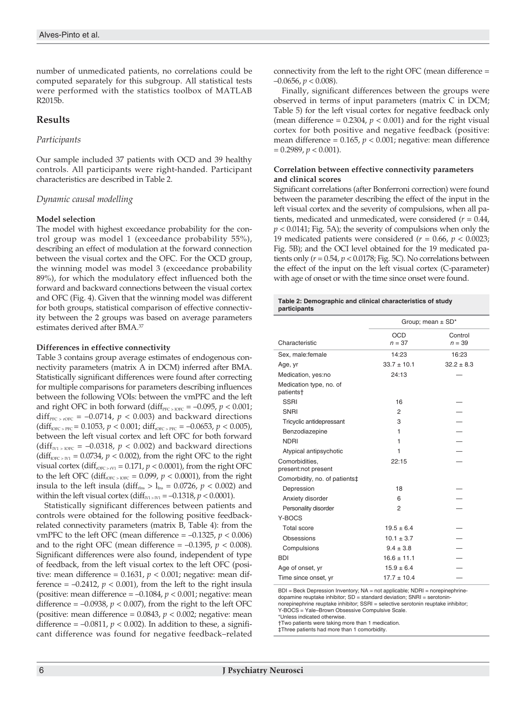number of unmedicated patients, no correlations could be computed separately for this subgroup. All statistical tests were performed with the statistics toolbox of MATLAB R2015b.

# **Results**

# *Participants*

Our sample included 37 patients with OCD and 39 healthy controls. All participants were right-handed. Participant characteristics are described in Table 2.

# *Dynamic causal modelling*

## **Model selection**

The model with highest exceedance probability for the control group was model 1 (exceedance probability 55%), describing an effect of modulation at the forward connection between the visual cortex and the OFC. For the OCD group, the winning model was model 3 (exceedance probability 89%), for which the modulatory effect influenced both the forward and backward connections between the visual cortex and OFC (Fig. 4). Given that the winning model was different for both groups, statistical comparison of effective connectivity between the 2 groups was based on average parameters estimates derived after BMA.37

# **Differences in effective connectivity**

Table 3 contains group average estimates of endogenous connectivity parameters (matrix A in DCM) inferred after BMA. Statistically significant differences were found after correcting for multiple comparisons for parameters describing influences between the following VOIs: between the vmPFC and the left and right OFC in both forward (diff $_{\text{PFC}>IOFC} = -0.095$ ,  $p < 0.001$ ; diff<sub>PFC > rOFC</sub> = -0.0714,  $p < 0.003$ ) and backward directions  $(diff_{IOFC > PFC} = 0.1053, p < 0.001; diff_{IOFC > PFC} = -0.0653, p < 0.005$ ), between the left visual cortex and left OFC for both forward (diff<sub>IV1 > lOFC</sub> = -0.0318,  $p < 0.002$ ) and backward directions  $(diff<sub>DCF > IV1</sub> = 0.0734, p < 0.002)$ , from the right OFC to the right visual cortex (diff<sub>rOFC > rV1</sub> = 0.171,  $p$  < 0.0001), from the right OFC to the left OFC (diff<sub>rOFC > lOFC</sub> = 0.099,  $p < 0.0001$ ), from the right insula to the left insula (diff<sub>rins</sub>  $> l_{ins} = 0.0726$ ,  $p < 0.002$ ) and within the left visual cortex (diff<sub> $W_1 > W_1 = -0.1318$ ,  $p < 0.0001$ ).</sub>

Statistically significant differences between patients and controls were obtained for the following positive feedbackrelated connectivity parameters (matrix B, Table 4): from the vmPFC to the left OFC (mean difference  $= -0.1325$ ,  $p < 0.006$ ) and to the right OFC (mean difference  $= -0.1395$ ,  $p < 0.008$ ). Significant differences were also found, independent of type of feedback, from the left visual cortex to the left OFC (positive: mean difference =  $0.1631$ ,  $p < 0.001$ ; negative: mean difference  $= -0.2412$ ,  $p < 0.001$ ), from the left to the right insula (positive: mean difference  $= -0.1084$ ,  $p < 0.001$ ; negative: mean difference  $= -0.0938$ ,  $p < 0.007$ ), from the right to the left OFC (positive: mean difference =  $0.0843$ ,  $p < 0.002$ ; negative: mean difference =  $-0.0811$ ,  $p < 0.002$ ). In addition to these, a significant difference was found for negative feedback–related

connectivity from the left to the right OFC (mean difference = –0.0656, *p* < 0.008).

Finally, significant differences between the groups were observed in terms of input parameters (matrix C in DCM; Table 5) for the left visual cortex for negative feedback only (mean difference =  $0.2304$ ,  $p < 0.001$ ) and for the right visual cortex for both positive and negative feedback (positive: mean difference = 0.165, *p* < 0.001; negative: mean difference  $= 0.2989, p < 0.001$ ).

## **Correlation between effective connectivity parameters and clinical scores**

Significant correlations (after Bonferroni correction) were found between the parameter describing the effect of the input in the left visual cortex and the severity of compulsions, when all patients, medicated and unmedicated, were considered (*r* = 0.44, *p* < 0.0141; Fig. 5A); the severity of compulsions when only the 19 medicated patients were considered ( $r = 0.66$ ,  $p < 0.0023$ ; Fig. 5B); and the OCI level obtained for the 19 medicated patients only  $(r = 0.54, p < 0.0178$ ; Fig. 5C). No correlations between the effect of the input on the left visual cortex (C-parameter) with age of onset or with the time since onset were found.

#### **Table 2: Demographic and clinical characteristics of study participants**

|                                                  | Group; mean $\pm$ SD <sup>*</sup> |                     |  |  |
|--------------------------------------------------|-----------------------------------|---------------------|--|--|
| Characteristic                                   | <b>OCD</b><br>$n = 37$            | Control<br>$n = 39$ |  |  |
| Sex, male:female                                 | 14:23                             | 16:23               |  |  |
| Age, yr                                          | $33.7 \pm 10.1$                   | $32.2 + 8.3$        |  |  |
| Medication, yes:no                               | 24:13                             |                     |  |  |
| Medication type, no. of<br>patients <sup>+</sup> |                                   |                     |  |  |
| <b>SSRI</b>                                      | 16                                |                     |  |  |
| <b>SNRI</b>                                      | 2                                 |                     |  |  |
| Tricyclic antidepressant                         | 3                                 |                     |  |  |
| Benzodiazepine                                   | 1                                 |                     |  |  |
| <b>NDRI</b>                                      | 1                                 |                     |  |  |
| Atypical antipsychotic                           | 1                                 |                     |  |  |
| Comorbidities.<br>present:not present            | 22:15                             |                     |  |  |
| Comorbidity, no. of patients‡                    |                                   |                     |  |  |
| Depression                                       | 18                                |                     |  |  |
| Anxiety disorder                                 | 6                                 |                     |  |  |
| Personality disorder                             | 2                                 |                     |  |  |
| Y-BOCS                                           |                                   |                     |  |  |
| <b>Total score</b>                               | $19.5 \pm 6.4$                    |                     |  |  |
| Obsessions                                       | $10.1 \pm 3.7$                    |                     |  |  |
| Compulsions                                      | $9.4 \pm 3.8$                     |                     |  |  |
| <b>BDI</b>                                       | $16.6 \pm 11.1$                   |                     |  |  |
| Age of onset, yr                                 | $15.9 \pm 6.4$                    |                     |  |  |
| Time since onset, yr                             | $17.7 \pm 10.4$                   |                     |  |  |

BDI = Beck Depression Inventory; NA = not applicable; NDRI = norepinephrinedopamine reuptake inhibitor; SD = standard deviation; SNRI = serotoninnorepinephrine reuptake inhibitor; SSRI = selective serotonin reuptake inhibitor; Y-BOCS = Yale–Brown Obsessive Compulsive Scale.

\*Unless indicated otherwise.

†Two patients were taking more than 1 medication.

‡Three patients had more than 1 comorbidity.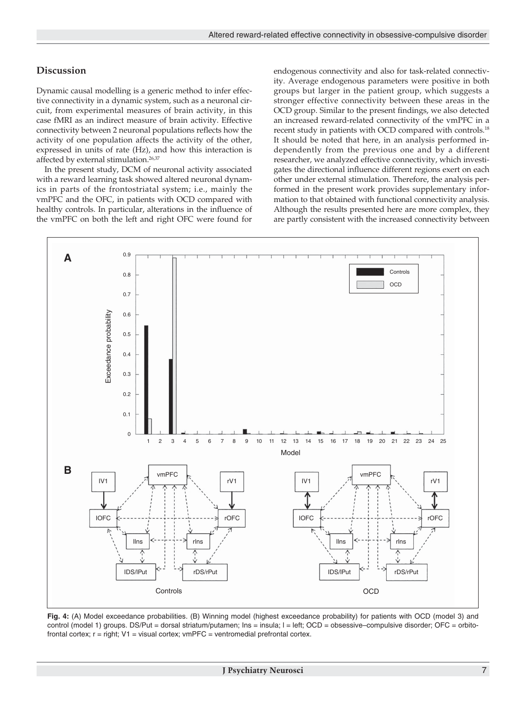# **Discussion**

Dynamic causal modelling is a generic method to infer effective connectivity in a dynamic system, such as a neuronal circuit, from experimental measures of brain activity, in this case fMRI as an indirect measure of brain activity. Effective connectivity between 2 neuronal populations reflects how the activity of one population affects the activity of the other, expressed in units of rate (Hz), and how this interaction is affected by external stimulation.26,37

In the present study, DCM of neuronal activity associated with a reward learning task showed altered neuronal dynamics in parts of the frontostriatal system; i.e., mainly the vmPFC and the OFC, in patients with OCD compared with healthy controls. In particular, alterations in the influence of the vmPFC on both the left and right OFC were found for

endogenous connectivity and also for task-related connectivity. Average endogenous parameters were positive in both groups but larger in the patient group, which suggests a stronger effective connectivity between these areas in the OCD group. Similar to the present findings, we also detected an increased reward-related connectivity of the vmPFC in a recent study in patients with OCD compared with controls.18 It should be noted that here, in an analysis performed independently from the previous one and by a different researcher, we analyzed effective connectivity, which investigates the directional influence different regions exert on each other under external stimulation. Therefore, the analysis performed in the present work provides supplementary information to that obtained with functional connectivity analysis. Although the results presented here are more complex, they are partly consistent with the increased connectivity between



**Fig. 4:** (A) Model exceedance probabilities. (B) Winning model (highest exceedance probability) for patients with OCD (model 3) and control (model 1) groups. DS/Put = dorsal striatum/putamen; Ins = insula; I = left; OCD = obsessive-compulsive disorder; OFC = orbitofrontal cortex;  $r = right$ ;  $V1 = visual cortex$ ;  $vmPFC = ventromedial prefrontal cortex$ .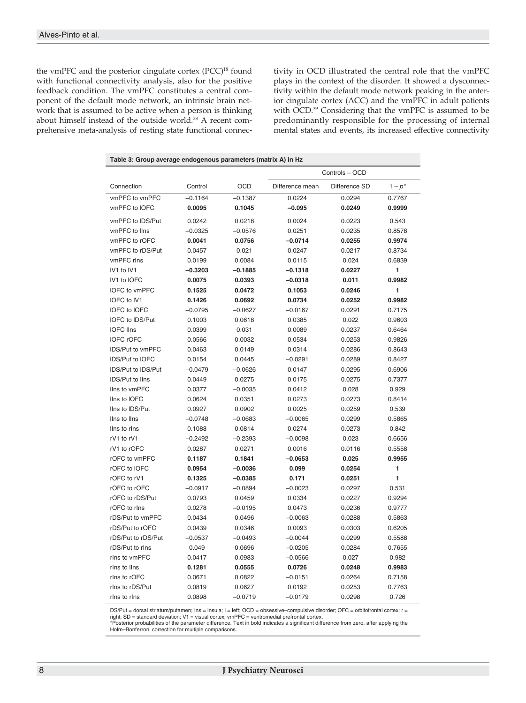the vmPFC and the posterior cingulate cortex (PCC)<sup>18</sup> found with functional connectivity analysis, also for the positive feedback condition. The vmPFC constitutes a central component of the default mode network, an intrinsic brain network that is assumed to be active when a person is thinking about himself instead of the outside world.<sup>38</sup> A recent comprehensive meta-analysis of resting state functional connectivity in OCD illustrated the central role that the vmPFC plays in the context of the disorder. It showed a dysconnectivity within the default mode network peaking in the anterior cingulate cortex (ACC) and the vmPFC in adult patients with OCD.<sup>39</sup> Considering that the vmPFC is assumed to be predominantly responsible for the processing of internal mental states and events, its increased effective connectivity

| Table 3: Group average endogenous parameters (matrix A) in Hz |                |            |                 |               |           |  |  |  |  |
|---------------------------------------------------------------|----------------|------------|-----------------|---------------|-----------|--|--|--|--|
|                                                               | Controls - OCD |            |                 |               |           |  |  |  |  |
| Connection                                                    | Control        | <b>OCD</b> | Difference mean | Difference SD | $1-p^{*}$ |  |  |  |  |
| vmPFC to vmPFC                                                | $-0.1164$      | $-0.1387$  | 0.0224          | 0.0294        | 0.7767    |  |  |  |  |
| vmPFC to IOFC                                                 | 0.0095         | 0.1045     | $-0.095$        | 0.0249        | 0.9999    |  |  |  |  |
| vmPFC to IDS/Put                                              | 0.0242         | 0.0218     | 0.0024          | 0.0223        | 0.543     |  |  |  |  |
| vmPFC to lins                                                 | $-0.0325$      | $-0.0576$  | 0.0251          | 0.0235        | 0.8578    |  |  |  |  |
| vmPFC to rOFC                                                 | 0.0041         | 0.0756     | $-0.0714$       | 0.0255        | 0.9974    |  |  |  |  |
| vmPFC to rDS/Put                                              | 0.0457         | 0.021      | 0.0247          | 0.0217        | 0.8734    |  |  |  |  |
| vmPFC rlns                                                    | 0.0199         | 0.0084     | 0.0115          | 0.024         | 0.6839    |  |  |  |  |
| IV1 to IV1                                                    | -0.3203        | $-0.1885$  | $-0.1318$       | 0.0227        | 1         |  |  |  |  |
| IV1 to IOFC                                                   | 0.0075         | 0.0393     | $-0.0318$       | 0.011         | 0.9982    |  |  |  |  |
| IOFC to vmPFC                                                 | 0.1525         | 0.0472     | 0.1053          | 0.0246        | 1         |  |  |  |  |
| IOFC to IV1                                                   | 0.1426         | 0.0692     | 0.0734          | 0.0252        | 0.9982    |  |  |  |  |
| <b>IOFC to IOFC</b>                                           | $-0.0795$      | $-0.0627$  | $-0.0167$       | 0.0291        | 0.7175    |  |  |  |  |
| IOFC to IDS/Put                                               | 0.1003         | 0.0618     | 0.0385          | 0.022         | 0.9603    |  |  |  |  |
| <b>IOFC IIns</b>                                              | 0.0399         | 0.031      | 0.0089          | 0.0237        | 0.6464    |  |  |  |  |
| <b>IOFC rOFC</b>                                              | 0.0566         | 0.0032     | 0.0534          | 0.0253        | 0.9826    |  |  |  |  |
| <b>IDS/Put to vmPFC</b>                                       | 0.0463         | 0.0149     | 0.0314          | 0.0286        | 0.8643    |  |  |  |  |
| <b>IDS/Put to IOFC</b>                                        | 0.0154         | 0.0445     | $-0.0291$       | 0.0289        | 0.8427    |  |  |  |  |
| IDS/Put to IDS/Put                                            | $-0.0479$      | $-0.0626$  | 0.0147          | 0.0295        | 0.6906    |  |  |  |  |
| IDS/Put to IIns                                               | 0.0449         | 0.0275     | 0.0175          | 0.0275        | 0.7377    |  |  |  |  |
| lins to vmPFC                                                 | 0.0377         | $-0.0035$  | 0.0412          | 0.028         | 0.929     |  |  |  |  |
| Ilns to IOFC                                                  | 0.0624         | 0.0351     | 0.0273          | 0.0273        | 0.8414    |  |  |  |  |
| Ilns to IDS/Put                                               | 0.0927         | 0.0902     | 0.0025          | 0.0259        | 0.539     |  |  |  |  |
| Ilns to Ilns                                                  | $-0.0748$      | $-0.0683$  | $-0.0065$       | 0.0299        | 0.5865    |  |  |  |  |
| Ilns to rins                                                  | 0.1088         | 0.0814     | 0.0274          | 0.0273        | 0.842     |  |  |  |  |
| rV1 to rV1                                                    | $-0.2492$      | $-0.2393$  | $-0.0098$       | 0.023         | 0.6656    |  |  |  |  |
| rV1 to rOFC                                                   | 0.0287         | 0.0271     | 0.0016          | 0.0116        | 0.5558    |  |  |  |  |
| rOFC to vmPFC                                                 | 0.1187         | 0.1841     | $-0.0653$       | 0.025         | 0.9955    |  |  |  |  |
| rOFC to IOFC                                                  | 0.0954         | $-0.0036$  | 0.099           | 0.0254        | 1         |  |  |  |  |
| rOFC to rV1                                                   | 0.1325         | $-0.0385$  | 0.171           | 0.0251        | 1         |  |  |  |  |
| rOFC to rOFC                                                  | $-0.0917$      | $-0.0894$  | $-0.0023$       | 0.0297        | 0.531     |  |  |  |  |
| rOFC to rDS/Put                                               | 0.0793         | 0.0459     | 0.0334          | 0.0227        | 0.9294    |  |  |  |  |
| rOFC to rins                                                  | 0.0278         | $-0.0195$  | 0.0473          | 0.0236        | 0.9777    |  |  |  |  |
| rDS/Put to vmPFC                                              | 0.0434         | 0.0496     | $-0.0063$       | 0.0288        | 0.5863    |  |  |  |  |
| rDS/Put to rOFC                                               | 0.0439         | 0.0346     | 0.0093          | 0.0303        | 0.6205    |  |  |  |  |
| rDS/Put to rDS/Put                                            | $-0.0537$      | $-0.0493$  | $-0.0044$       | 0.0299        | 0.5588    |  |  |  |  |
| rDS/Put to rins                                               | 0.049          | 0.0696     | $-0.0205$       | 0.0284        | 0.7655    |  |  |  |  |
| rins to vmPFC                                                 | 0.0417         | 0.0983     | $-0.0566$       | 0.027         | 0.982     |  |  |  |  |
| rins to lins                                                  | 0.1281         | 0.0555     | 0.0726          | 0.0248        | 0.9983    |  |  |  |  |
| rins to rOFC                                                  | 0.0671         | 0.0822     | $-0.0151$       | 0.0264        | 0.7158    |  |  |  |  |
| rins to rDS/Put                                               | 0.0819         | 0.0627     | 0.0192          | 0.0253        | 0.7763    |  |  |  |  |
| rins to rins                                                  | 0.0898         | $-0.0719$  | $-0.0179$       | 0.0298        | 0.726     |  |  |  |  |

DS/Put = dorsal striatum/putamen; Ins = insula; I = left; OCD = obsessive-compulsive disorder; OFC = orbitofrontal cortex; r =

right; SD = standard deviation; V1 = visual cortex; vmPFC = ventromedial prefrontal cortex. \*Posterior probabilities of the parameter difference. Text in bold indicates a significant difference from zero, after applying the Holm–Bonferroni correction for multiple comparisons.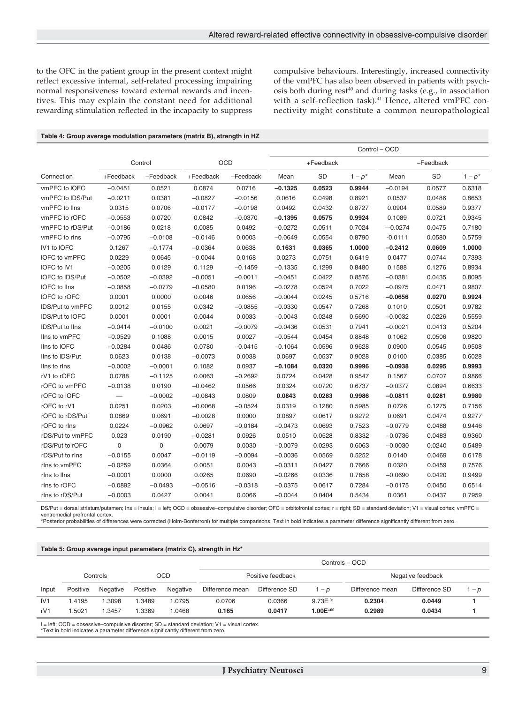to the OFC in the patient group in the present context might reflect excessive internal, self-related processing impairing normal responsiveness toward external rewards and incentives. This may explain the constant need for additional rewarding stimulation reflected in the incapacity to suppress compulsive behaviours. Interestingly, increased connectivity of the vmPFC has also been observed in patients with psychosis both during rest<sup>40</sup> and during tasks (e.g., in association with a self-reflection task).<sup>41</sup> Hence, altered vmPFC connectivity might constitute a common neuropathological

| Table 4: Group average modulation parameters (matrix B), strength in HZ |  |  |  |
|-------------------------------------------------------------------------|--|--|--|
|-------------------------------------------------------------------------|--|--|--|

|                        |             |             |           |            | Control - OCD |           |         |           |        |         |
|------------------------|-------------|-------------|-----------|------------|---------------|-----------|---------|-----------|--------|---------|
|                        |             | Control     |           | <b>OCD</b> | +Feedback     |           |         | -Feedback |        |         |
| Connection             | +Feedback   | -Feedback   | +Feedback | -Feedback  | Mean          | <b>SD</b> | $1-p^*$ | Mean      | SD     | $1-p^*$ |
| vmPFC to IOFC          | $-0.0451$   | 0.0521      | 0.0874    | 0.0716     | $-0.1325$     | 0.0523    | 0.9944  | $-0.0194$ | 0.0577 | 0.6318  |
| vmPFC to IDS/Put       | $-0.0211$   | 0.0381      | $-0.0827$ | $-0.0156$  | 0.0616        | 0.0498    | 0.8921  | 0.0537    | 0.0486 | 0.8653  |
| vmPFC to IIns          | 0.0315      | 0.0706      | $-0.0177$ | $-0.0198$  | 0.0492        | 0.0432    | 0.8727  | 0.0904    | 0.0589 | 0.9377  |
| vmPFC to rOFC          | $-0.0553$   | 0.0720      | 0.0842    | $-0.0370$  | $-0.1395$     | 0.0575    | 0.9924  | 0.1089    | 0.0721 | 0.9345  |
| vmPFC to rDS/Put       | $-0.0186$   | 0.0218      | 0.0085    | 0.0492     | $-0.0272$     | 0.0511    | 0.7024  | $-0.0274$ | 0.0475 | 0.7180  |
| vmPFC to rins          | $-0.0795$   | $-0.0108$   | $-0.0146$ | 0.0003     | $-0.0649$     | 0.0554    | 0.8790  | $-0.0111$ | 0.0580 | 0.5759  |
| IV1 to IOFC            | 0.1267      | $-0.1774$   | $-0.0364$ | 0.0638     | 0.1631        | 0.0365    | 1.0000  | $-0.2412$ | 0.0609 | 1.0000  |
| IOFC to vmPFC          | 0.0229      | 0.0645      | $-0.0044$ | 0.0168     | 0.0273        | 0.0751    | 0.6419  | 0.0477    | 0.0744 | 0.7393  |
| IOFC to IV1            | $-0.0205$   | 0.0129      | 0.1129    | $-0.1459$  | $-0.1335$     | 0.1299    | 0.8480  | 0.1588    | 0.1276 | 0.8934  |
| IOFC to IDS/Put        | $-0.0502$   | $-0.0392$   | $-0.0051$ | $-0.0011$  | $-0.0451$     | 0.0422    | 0.8576  | $-0.0381$ | 0.0435 | 0.8095  |
| <b>IOFC</b> to IIns    | $-0.0858$   | $-0.0779$   | $-0.0580$ | 0.0196     | $-0.0278$     | 0.0524    | 0.7022  | $-0.0975$ | 0.0471 | 0.9807  |
| IOFC to rOFC           | 0.0001      | 0.0000      | 0.0046    | 0.0656     | $-0.0044$     | 0.0245    | 0.5716  | $-0.0656$ | 0.0270 | 0.9924  |
| IDS/Put to vmPFC       | 0.0012      | 0.0155      | 0.0342    | $-0.0855$  | $-0.0330$     | 0.0547    | 0.7268  | 0.1010    | 0.0501 | 0.9782  |
| <b>IDS/Put to IOFC</b> | 0.0001      | 0.0001      | 0.0044    | 0.0033     | $-0.0043$     | 0.0248    | 0.5690  | $-0.0032$ | 0.0226 | 0.5559  |
| IDS/Put to IIns        | $-0.0414$   | $-0.0100$   | 0.0021    | $-0.0079$  | $-0.0436$     | 0.0531    | 0.7941  | $-0.0021$ | 0.0413 | 0.5204  |
| lins to vmPFC          | $-0.0529$   | 0.1088      | 0.0015    | 0.0027     | $-0.0544$     | 0.0454    | 0.8848  | 0.1062    | 0.0506 | 0.9820  |
| lins to IOFC           | $-0.0284$   | 0.0486      | 0.0780    | $-0.0415$  | $-0.1064$     | 0.0596    | 0.9628  | 0.0900    | 0.0545 | 0.9508  |
| llns to IDS/Put        | 0.0623      | 0.0138      | $-0.0073$ | 0.0038     | 0.0697        | 0.0537    | 0.9028  | 0.0100    | 0.0385 | 0.6028  |
| lins to rins           | $-0.0002$   | $-0.0001$   | 0.1082    | 0.0937     | $-0.1084$     | 0.0320    | 0.9996  | $-0.0938$ | 0.0295 | 0.9993  |
| rV1 to rOFC            | 0.0788      | $-0.1125$   | 0.0063    | $-0.2692$  | 0.0724        | 0.0428    | 0.9547  | 0.1567    | 0.0707 | 0.9866  |
| rOFC to vmPFC          | $-0.0138$   | 0.0190      | $-0.0462$ | 0.0566     | 0.0324        | 0.0720    | 0.6737  | $-0.0377$ | 0.0894 | 0.6633  |
| rOFC to IOFC           |             | $-0.0002$   | $-0.0843$ | 0.0809     | 0.0843        | 0.0283    | 0.9986  | $-0.0811$ | 0.0281 | 0.9980  |
| rOFC to rV1            | 0.0251      | 0.0203      | $-0.0068$ | $-0.0524$  | 0.0319        | 0.1280    | 0.5985  | 0.0726    | 0.1275 | 0.7156  |
| rOFC to rDS/Put        | 0.0869      | 0.0691      | $-0.0028$ | 0.0000     | 0.0897        | 0.0617    | 0.9272  | 0.0691    | 0.0474 | 0.9277  |
| rOFC to rlns           | 0.0224      | $-0.0962$   | 0.0697    | $-0.0184$  | $-0.0473$     | 0.0693    | 0.7523  | $-0.0779$ | 0.0488 | 0.9446  |
| rDS/Put to vmPFC       | 0.023       | 0.0190      | $-0.0281$ | 0.0926     | 0.0510        | 0.0528    | 0.8332  | $-0.0736$ | 0.0483 | 0.9360  |
| rDS/Put to rOFC        | $\mathbf 0$ | $\mathbf 0$ | 0.0079    | 0.0030     | $-0.0079$     | 0.0293    | 0.6063  | $-0.0030$ | 0.0240 | 0.5489  |
| rDS/Put to rIns        | $-0.0155$   | 0.0047      | $-0.0119$ | $-0.0094$  | $-0.0036$     | 0.0569    | 0.5252  | 0.0140    | 0.0469 | 0.6178  |
| rins to vmPFC          | $-0.0259$   | 0.0364      | 0.0051    | 0.0043     | $-0.0311$     | 0.0427    | 0.7666  | 0.0320    | 0.0459 | 0.7576  |
| rins to lins           | $-0.0001$   | 0.0000      | 0.0265    | 0.0690     | $-0.0266$     | 0.0336    | 0.7858  | $-0.0690$ | 0.0420 | 0.9499  |
| rins to rOFC           | $-0.0892$   | $-0.0493$   | $-0.0516$ | $-0.0318$  | $-0.0375$     | 0.0617    | 0.7284  | $-0.0175$ | 0.0450 | 0.6514  |
| rins to rDS/Put        | $-0.0003$   | 0.0427      | 0.0041    | 0.0066     | $-0.0044$     | 0.0404    | 0.5434  | 0.0361    | 0.0437 | 0.7959  |

DS/Put = dorsal striatum/putamen; Ins = insula; I = left; OCD = obsessive-compulsive disorder; OFC = orbitofrontal cortex; r = right; SD = standard deviation; V1 = visual cortex; vmPFC = ventromedial prefrontal cortex.

\*Posterior probabilities of differences were corrected (Holm-Bonferroni) for multiple comparisons. Text in bold indicates a parameter difference significantly different from zero.

#### **Table 5: Group average input parameters (matrix C), strength in Hz\***

|       |          |          |          |          | Controls - OCD    |               |               |                   |               |       |
|-------|----------|----------|----------|----------|-------------------|---------------|---------------|-------------------|---------------|-------|
|       |          | Controls |          | OCD      | Positive feedback |               |               | Negative feedback |               |       |
| Input | Positive | Negative | Positive | Negative | Difference mean   | Difference SD | 1 – p         | Difference mean   | Difference SD | $- p$ |
| IV1   | 1.4195   | 1.3098   | .3489    | 1.0795   | 0.0706            | 0.0366        | $9.73E^{-01}$ | 0.2304            | 0.0449        |       |
| rV1   | .5021    | 1.3457   | .3369    | 1.0468   | 0.165             | 0.0417        | $1.00E^{+00}$ | 0.2989            | 0.0434        |       |

l = left; OCD = obsessive–compulsive disorder; SD = standard deviation; V1 = visual cortex.

\*Text in bold indicates a parameter difference significantly different from zero.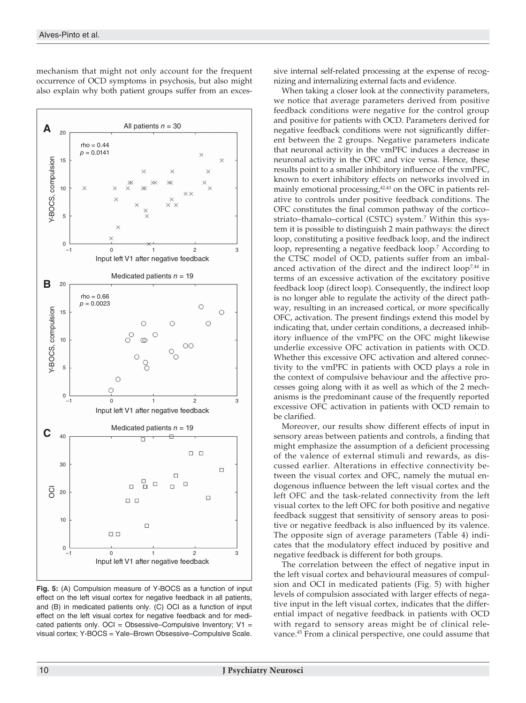

mechanism that might not only account for the frequent occurrence of OCD symptoms in psychosis, but also might also explain why both patient groups suffer from an exces-

**Fig. 5:** (A) Compulsion measure of Y-BOCS as a function of input effect on the left visual cortex for negative feedback in all patients, and (B) in medicated patients only. (C) OCI as a function of input effect on the left visual cortex for negative feedback and for medicated patients only. OCI = Obsessive–Compulsive Inventory;  $V1 =$ visual cortex; Y-BOCS = Yale–Brown Obsessive–Compulsive Scale.

sive internal self-related processing at the expense of recognizing and internalizing external facts and evidence.

When taking a closer look at the connectivity parameters, we notice that average parameters derived from positive feedback conditions were negative for the control group and positive for patients with OCD. Parameters derived for negative feedback conditions were not significantly different between the 2 groups. Negative parameters indicate that neuronal activity in the vmPFC induces a decrease in neuronal activity in the OFC and vice versa. Hence, these results point to a smaller inhibitory influence of the vmPFC, known to exert inhibitory effects on networks involved in mainly emotional processing, $42,43$  on the OFC in patients relative to controls under positive feedback conditions. The OFC constitutes the final common pathway of the cortico– striato–thamalo–cortical (CSTC) system.7 Within this system it is possible to distinguish 2 main pathways: the direct loop, constituting a positive feedback loop, and the indirect loop, representing a negative feedback loop.<sup>7</sup> According to the CTSC model of OCD, patients suffer from an imbalanced activation of the direct and the indirect  $loop^{7,44}$  in terms of an excessive activation of the excitatory positive feedback loop (direct loop). Consequently, the indirect loop is no longer able to regulate the activity of the direct pathway, resulting in an increased cortical, or more specifically OFC, activation. The present findings extend this model by indicating that, under certain conditions, a decreased inhibitory influence of the vmPFC on the OFC might likewise underlie excessive OFC activation in patients with OCD. Whether this excessive OFC activation and altered connectivity to the vmPFC in patients with OCD plays a role in the context of compulsive behaviour and the affective processes going along with it as well as which of the 2 mechanisms is the predominant cause of the frequently reported excessive OFC activation in patients with OCD remain to be clarified.

Moreover, our results show different effects of input in sensory areas between patients and controls, a finding that might emphasize the assumption of a deficient processing of the valence of external stimuli and rewards, as discussed earlier. Alterations in effective connectivity between the visual cortex and OFC, namely the mutual endogenous influence between the left visual cortex and the left OFC and the task-related connectivity from the left visual cortex to the left OFC for both positive and negative feedback suggest that sensitivity of sensory areas to positive or negative feedback is also influenced by its valence. The opposite sign of average parameters (Table 4) indicates that the modulatory effect induced by positive and negative feedback is different for both groups.

The correlation between the effect of negative input in the left visual cortex and behavioural measures of compulsion and OCI in medicated patients (Fig. 5) with higher levels of compulsion associated with larger effects of negative input in the left visual cortex, indicates that the differential impact of negative feedback in patients with OCD with regard to sensory areas might be of clinical relevance.45 From a clinical perspective, one could assume that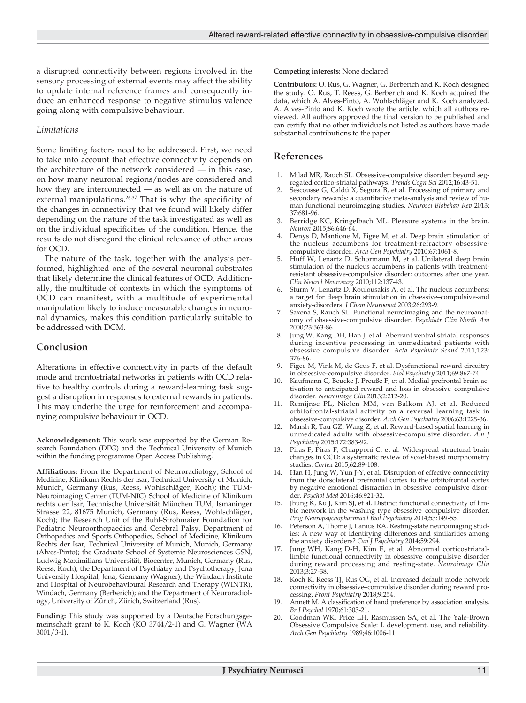a disrupted connectivity between regions involved in the sensory processing of external events may affect the ability to update internal reference frames and consequently induce an enhanced response to negative stimulus valence going along with compulsive behaviour.

# *Limitations*

Some limiting factors need to be addressed. First, we need to take into account that effective connectivity depends on the architecture of the network considered — in this case, on how many neuronal regions/nodes are considered and how they are interconnected — as well as on the nature of external manipulations.<sup>26,37</sup> That is why the specificity of the changes in connectivity that we found will likely differ depending on the nature of the task investigated as well as on the individual specificities of the condition. Hence, the results do not disregard the clinical relevance of other areas for OCD.

The nature of the task, together with the analysis performed, highlighted one of the several neuronal substrates that likely determine the clinical features of OCD. Additionally, the multitude of contexts in which the symptoms of OCD can manifest, with a multitude of experimental manipulation likely to induce measurable changes in neuronal dynamics, makes this condition particularly suitable to be addressed with DCM.

# **Conclusion**

Alterations in effective connectivity in parts of the default mode and frontostriatal networks in patients with OCD relative to healthy controls during a reward-learning task suggest a disruption in responses to external rewards in patients. This may underlie the urge for reinforcement and accompanying compulsive behaviour in OCD.

**Acknowledgement:** This work was supported by the German Research Foundation (DFG) and the Technical University of Munich within the funding programme Open Access Publishing.

**Affiliations:** From the Department of Neuroradiology, School of Medicine, Klinikum Rechts der Isar, Technical University of Munich, Munich, Germany (Rus, Reess, Wohlschläger, Koch); the TUM-Neuroimaging Center (TUM-NIC) School of Medicine of Klinikum rechts der Isar, Technische Universität München TUM, Ismaninger Strasse 22, 81675 Munich, Germany (Rus, Reess, Wohlschläger, Koch); the Research Unit of the Buhl-Strohmaier Foundation for Pediatric Neuroorthopaedics and Cerebral Palsy, Department of Orthopedics and Sports Orthopedics, School of Medicine, Klinikum Rechts der Isar, Technical University of Munich, Munich, Germany (Alves-Pinto); the Graduate School of Systemic Neurosciences GSN, Ludwig-Maximilians-Universität, Biocenter, Munich, Germany (Rus, Reess, Koch); the Department of Psychiatry and Psychotherapy, Jena University Hospital, Jena, Germany (Wagner); the Windach Institute and Hospital of Neurobehavioural Research and Therapy (WINTR), Windach, Germany (Berberich); and the Department of Neuroradiology, University of Zürich, Zürich, Switzerland (Rus).

**Funding:** This study was supported by a Deutsche Forschungsgemeinschaft grant to K. Koch (KO 3744/2-1) and G. Wagner (WA 3001/3-1).

**Competing interests:** None declared.

**Contributors:** O. Rus, G. Wagner, G. Berberich and K. Koch designed the study. O. Rus, T. Reess, G. Berberich and K. Koch acquired the data, which A. Alves-Pinto, A. Wohlschläger and K. Koch analyzed. A. Alves-Pinto and K. Koch wrote the article, which all authors reviewed. All authors approved the final version to be published and can certify that no other individuals not listed as authors have made substantial contributions to the paper.

# **References**

- 1. Milad MR, Rauch SL. Obsessive-compulsive disorder: beyond segregated cortico-striatal pathways. *Trends Cogn Sci* 2012;16:43-51.
- Sescousse G, Caldú X, Segura B, et al. Processing of primary and secondary rewards: a quantitative meta-analysis and review of human functional neuroimaging studies. *Neurosci Biobehav Rev* 2013; 37:681-96.
- 3. Berridge KC, Kringelbach ML. Pleasure systems in the brain. *Neuron* 2015;86:646-64.
- 4. Denys D, Mantione M, Figee M, et al. Deep brain stimulation of the nucleus accumbens for treatment-refractory obsessivecompulsive disorder. *Arch Gen Psychiatry* 2010;67:1061-8.
- 5. Huff W, Lenartz D, Schormann M, et al. Unilateral deep brain stimulation of the nucleus accumbens in patients with treatmentresistant obsessive-compulsive disorder: outcomes after one year. *Clin Neurol Neurosurg* 2010;112:137-43.
- 6. Sturm V, Lenartz D, Koulousakis A, et al. The nucleus accumbens: a target for deep brain stimulation in obsessive–compulsive-and anxiety-disorders. *J Chem Neuroanat* 2003;26:293-9.
- 7. Saxena S, Rauch SL. Functional neuroimaging and the neuroanatomy of obsessive-compulsive disorder. *Psychiatr Clin North Am* 2000;23:563-86.
- Jung W, Kang DH, Han J, et al. Aberrant ventral striatal responses during incentive processing in unmedicated patients with obsessive–compulsive disorder. *Acta Psychiatr Scand* 2011;123: 376-86.
- 9. Figee M, Vink M, de Geus F, et al. Dysfunctional reward circuitry in obsessive-compulsive disorder. *Biol Psychiatry* 2011;69:867-74.
- 10. Kaufmann C, Beucke J, Preuße F, et al. Medial prefrontal brain activation to anticipated reward and loss in obsessive–compulsive disorder. *Neuroimage Clin* 2013;2:212-20.
- 11. Remijnse PL, Nielen MM, van Balkom AJ, et al. Reduced orbitofrontal-striatal activity on a reversal learning task in obsessive-compulsive disorder. *Arch Gen Psychiatry* 2006;63:1225-36.
- 12. Marsh R, Tau GZ, Wang Z, et al. Reward-based spatial learning in unmedicated adults with obsessive-compulsive disorder. *Am J Psychiatry* 2015;172:383-92.
- 13. Piras F, Piras F, Chiapponi C, et al. Widespread structural brain changes in OCD: a systematic review of voxel-based morphometry studies. *Cortex* 2015;62:89-108.
- 14. Han H, Jung W, Yun J-Y, et al. Disruption of effective connectivity from the dorsolateral prefrontal cortex to the orbitofrontal cortex by negative emotional distraction in obsessive–compulsive disorder. *Psychol Med* 2016;46:921-32.
- Jhung K, Ku J, Kim SJ, et al. Distinct functional connectivity of limbic network in the washing type obsessive–compulsive disorder. *Prog Neuropsychopharmacol Biol Psychiatry* 2014;53:149-55.
- 16. Peterson A, Thome J, Lanius RA. Resting-state neuroimaging studies: A new way of identifying differences and similarities among the anxiety disorders? *Can J Psychiatry* 2014;59:294.
- 17. Jung WH, Kang D-H, Kim E, et al. Abnormal corticostriatallimbic functional connectivity in obsessive–compulsive disorder during reward processing and resting-state. *Neuroimage Clin* 2013;3:27-38.
- 18. Koch K, Reess TJ, Rus OG, et al. Increased default mode network connectivity in obsessive–compulsive disorder during reward processing. *Front Psychiatry* 2018;9:254.
- 19. Annett M. A classification of hand preference by association analysis. *Br J Psychol* 1970;61:303-21.
- 20. Goodman WK, Price LH, Rasmussen SA, et al. The Yale-Brown Obsessive Compulsive Scale: I. development, use, and reliability. *Arch Gen Psychiatry* 1989;46:1006-11.